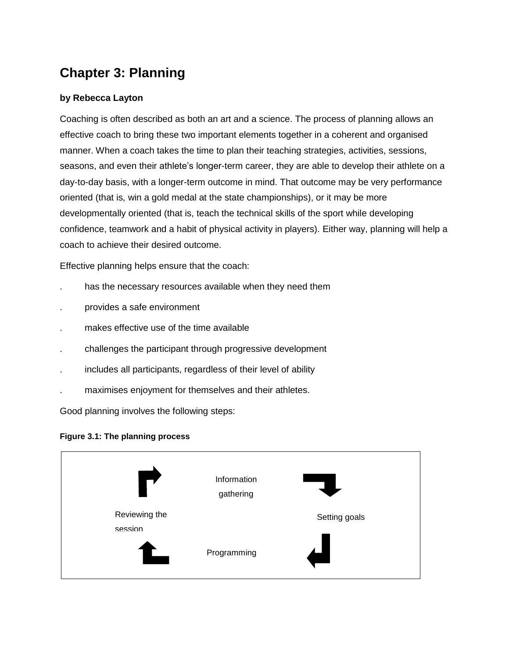# **Chapter 3: Planning**

#### **by Rebecca Layton**

Coaching is often described as both an art and a science. The process of planning allows an effective coach to bring these two important elements together in a coherent and organised manner. When a coach takes the time to plan their teaching strategies, activities, sessions, seasons, and even their athlete's longer-term career, they are able to develop their athlete on a day-to-day basis, with a longer-term outcome in mind. That outcome may be very performance oriented (that is, win a gold medal at the state championships), or it may be more developmentally oriented (that is, teach the technical skills of the sport while developing confidence, teamwork and a habit of physical activity in players). Either way, planning will help a coach to achieve their desired outcome.

Effective planning helps ensure that the coach:

- has the necessary resources available when they need them
- . provides a safe environment
- makes effective use of the time available
- . challenges the participant through progressive development
- . includes all participants, regardless of their level of ability
- . maximises enjoyment for themselves and their athletes.

Good planning involves the following steps:

#### **Figure 3.1: The planning process**

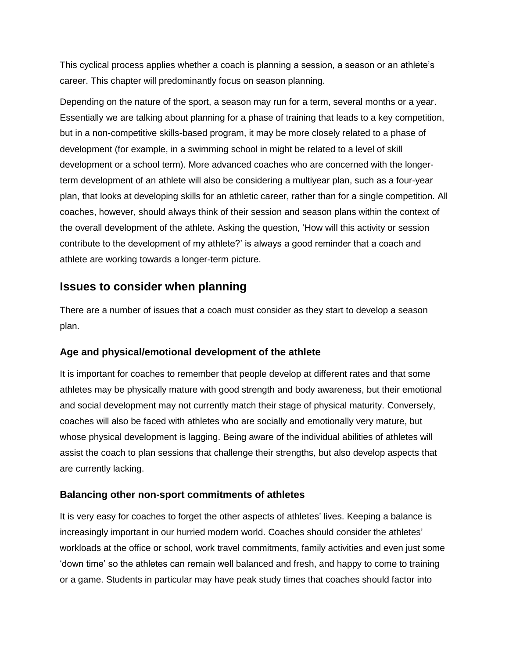This cyclical process applies whether a coach is planning a session, a season or an athlete's career. This chapter will predominantly focus on season planning.

Depending on the nature of the sport, a season may run for a term, several months or a year. Essentially we are talking about planning for a phase of training that leads to a key competition, but in a non-competitive skills-based program, it may be more closely related to a phase of development (for example, in a swimming school in might be related to a level of skill development or a school term). More advanced coaches who are concerned with the longerterm development of an athlete will also be considering a multiyear plan, such as a four-year plan, that looks at developing skills for an athletic career, rather than for a single competition. All coaches, however, should always think of their session and season plans within the context of the overall development of the athlete. Asking the question, 'How will this activity or session contribute to the development of my athlete?' is always a good reminder that a coach and athlete are working towards a longer-term picture.

## **Issues to consider when planning**

There are a number of issues that a coach must consider as they start to develop a season plan.

## **Age and physical/emotional development of the athlete**

It is important for coaches to remember that people develop at different rates and that some athletes may be physically mature with good strength and body awareness, but their emotional and social development may not currently match their stage of physical maturity. Conversely, coaches will also be faced with athletes who are socially and emotionally very mature, but whose physical development is lagging. Being aware of the individual abilities of athletes will assist the coach to plan sessions that challenge their strengths, but also develop aspects that are currently lacking.

#### **Balancing other non-sport commitments of athletes**

It is very easy for coaches to forget the other aspects of athletes' lives. Keeping a balance is increasingly important in our hurried modern world. Coaches should consider the athletes' workloads at the office or school, work travel commitments, family activities and even just some 'down time' so the athletes can remain well balanced and fresh, and happy to come to training or a game. Students in particular may have peak study times that coaches should factor into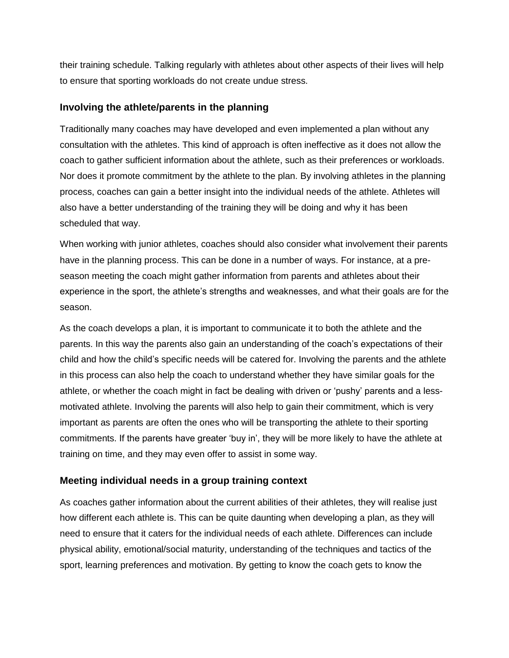their training schedule. Talking regularly with athletes about other aspects of their lives will help to ensure that sporting workloads do not create undue stress.

#### **Involving the athlete/parents in the planning**

Traditionally many coaches may have developed and even implemented a plan without any consultation with the athletes. This kind of approach is often ineffective as it does not allow the coach to gather sufficient information about the athlete, such as their preferences or workloads. Nor does it promote commitment by the athlete to the plan. By involving athletes in the planning process, coaches can gain a better insight into the individual needs of the athlete. Athletes will also have a better understanding of the training they will be doing and why it has been scheduled that way.

When working with junior athletes, coaches should also consider what involvement their parents have in the planning process. This can be done in a number of ways. For instance, at a preseason meeting the coach might gather information from parents and athletes about their experience in the sport, the athlete's strengths and weaknesses, and what their goals are for the season.

As the coach develops a plan, it is important to communicate it to both the athlete and the parents. In this way the parents also gain an understanding of the coach's expectations of their child and how the child's specific needs will be catered for. Involving the parents and the athlete in this process can also help the coach to understand whether they have similar goals for the athlete, or whether the coach might in fact be dealing with driven or 'pushy' parents and a lessmotivated athlete. Involving the parents will also help to gain their commitment, which is very important as parents are often the ones who will be transporting the athlete to their sporting commitments. If the parents have greater 'buy in', they will be more likely to have the athlete at training on time, and they may even offer to assist in some way.

## **Meeting individual needs in a group training context**

As coaches gather information about the current abilities of their athletes, they will realise just how different each athlete is. This can be quite daunting when developing a plan, as they will need to ensure that it caters for the individual needs of each athlete. Differences can include physical ability, emotional/social maturity, understanding of the techniques and tactics of the sport, learning preferences and motivation. By getting to know the coach gets to know the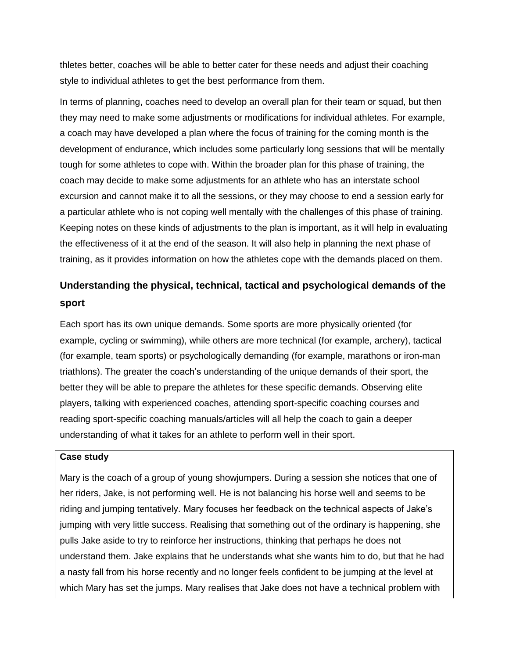thletes better, coaches will be able to better cater for these needs and adjust their coaching style to individual athletes to get the best performance from them.

In terms of planning, coaches need to develop an overall plan for their team or squad, but then they may need to make some adjustments or modifications for individual athletes. For example, a coach may have developed a plan where the focus of training for the coming month is the development of endurance, which includes some particularly long sessions that will be mentally tough for some athletes to cope with. Within the broader plan for this phase of training, the coach may decide to make some adjustments for an athlete who has an interstate school excursion and cannot make it to all the sessions, or they may choose to end a session early for a particular athlete who is not coping well mentally with the challenges of this phase of training. Keeping notes on these kinds of adjustments to the plan is important, as it will help in evaluating the effectiveness of it at the end of the season. It will also help in planning the next phase of training, as it provides information on how the athletes cope with the demands placed on them.

## **Understanding the physical, technical, tactical and psychological demands of the sport**

Each sport has its own unique demands. Some sports are more physically oriented (for example, cycling or swimming), while others are more technical (for example, archery), tactical (for example, team sports) or psychologically demanding (for example, marathons or iron-man triathlons). The greater the coach's understanding of the unique demands of their sport, the better they will be able to prepare the athletes for these specific demands. Observing elite players, talking with experienced coaches, attending sport-specific coaching courses and reading sport-specific coaching manuals/articles will all help the coach to gain a deeper understanding of what it takes for an athlete to perform well in their sport.

#### **Case study**

Mary is the coach of a group of young showjumpers. During a session she notices that one of her riders, Jake, is not performing well. He is not balancing his horse well and seems to be riding and jumping tentatively. Mary focuses her feedback on the technical aspects of Jake's jumping with very little success. Realising that something out of the ordinary is happening, she pulls Jake aside to try to reinforce her instructions, thinking that perhaps he does not understand them. Jake explains that he understands what she wants him to do, but that he had a nasty fall from his horse recently and no longer feels confident to be jumping at the level at which Mary has set the jumps. Mary realises that Jake does not have a technical problem with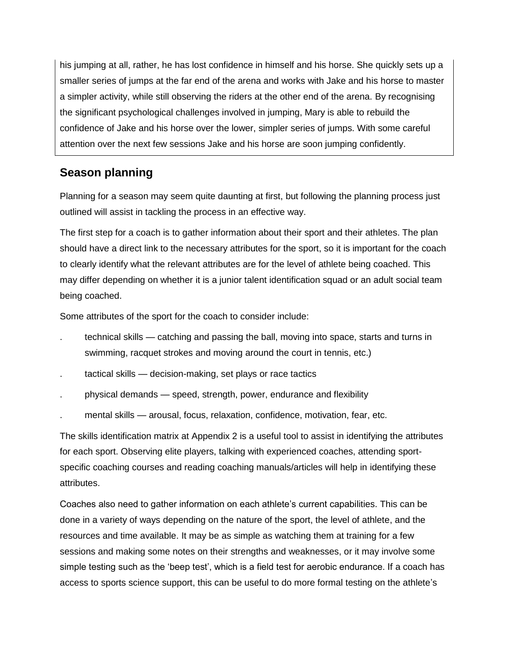his jumping at all, rather, he has lost confidence in himself and his horse. She quickly sets up a smaller series of jumps at the far end of the arena and works with Jake and his horse to master a simpler activity, while still observing the riders at the other end of the arena. By recognising the significant psychological challenges involved in jumping, Mary is able to rebuild the confidence of Jake and his horse over the lower, simpler series of jumps. With some careful attention over the next few sessions Jake and his horse are soon jumping confidently.

## **Season planning**

Planning for a season may seem quite daunting at first, but following the planning process just outlined will assist in tackling the process in an effective way.

The first step for a coach is to gather information about their sport and their athletes. The plan should have a direct link to the necessary attributes for the sport, so it is important for the coach to clearly identify what the relevant attributes are for the level of athlete being coached. This may differ depending on whether it is a junior talent identification squad or an adult social team being coached.

Some attributes of the sport for the coach to consider include:

- . technical skills catching and passing the ball, moving into space, starts and turns in swimming, racquet strokes and moving around the court in tennis, etc.)
- tactical skills decision-making, set plays or race tactics
- . physical demands speed, strength, power, endurance and flexibility
- . mental skills arousal, focus, relaxation, confidence, motivation, fear, etc.

The skills identification matrix at Appendix 2 is a useful tool to assist in identifying the attributes for each sport. Observing elite players, talking with experienced coaches, attending sportspecific coaching courses and reading coaching manuals/articles will help in identifying these attributes.

Coaches also need to gather information on each athlete's current capabilities. This can be done in a variety of ways depending on the nature of the sport, the level of athlete, and the resources and time available. It may be as simple as watching them at training for a few sessions and making some notes on their strengths and weaknesses, or it may involve some simple testing such as the 'beep test', which is a field test for aerobic endurance. If a coach has access to sports science support, this can be useful to do more formal testing on the athlete's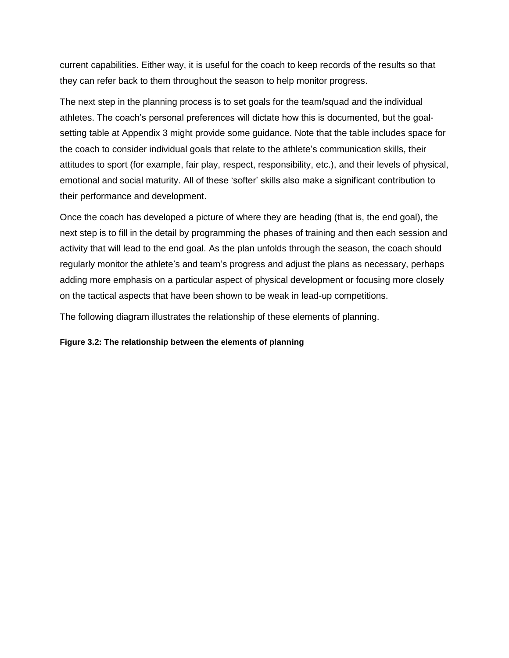current capabilities. Either way, it is useful for the coach to keep records of the results so that they can refer back to them throughout the season to help monitor progress.

The next step in the planning process is to set goals for the team/squad and the individual athletes. The coach's personal preferences will dictate how this is documented, but the goalsetting table at Appendix 3 might provide some guidance. Note that the table includes space for the coach to consider individual goals that relate to the athlete's communication skills, their attitudes to sport (for example, fair play, respect, responsibility, etc.), and their levels of physical, emotional and social maturity. All of these 'softer' skills also make a significant contribution to their performance and development.

Once the coach has developed a picture of where they are heading (that is, the end goal), the next step is to fill in the detail by programming the phases of training and then each session and activity that will lead to the end goal. As the plan unfolds through the season, the coach should regularly monitor the athlete's and team's progress and adjust the plans as necessary, perhaps adding more emphasis on a particular aspect of physical development or focusing more closely on the tactical aspects that have been shown to be weak in lead-up competitions.

The following diagram illustrates the relationship of these elements of planning.

**Figure 3.2: The relationship between the elements of planning**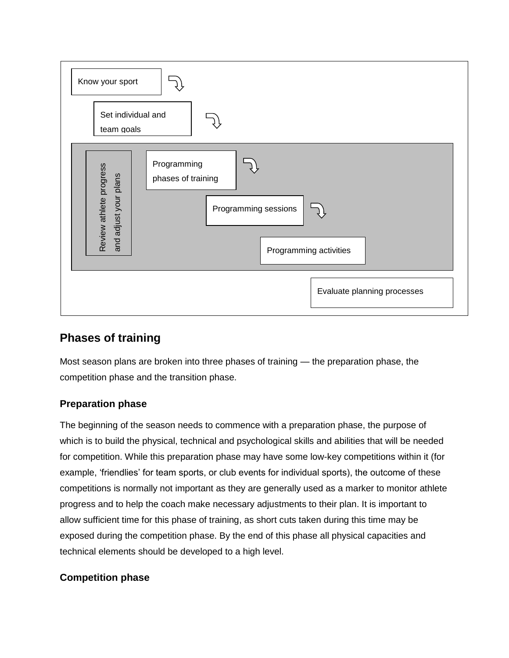

## **Phases of training**

Most season plans are broken into three phases of training — the preparation phase, the competition phase and the transition phase.

## **Preparation phase**

The beginning of the season needs to commence with a preparation phase, the purpose of which is to build the physical, technical and psychological skills and abilities that will be needed for competition. While this preparation phase may have some low-key competitions within it (for example, 'friendlies' for team sports, or club events for individual sports), the outcome of these competitions is normally not important as they are generally used as a marker to monitor athlete progress and to help the coach make necessary adjustments to their plan. It is important to allow sufficient time for this phase of training, as short cuts taken during this time may be exposed during the competition phase. By the end of this phase all physical capacities and technical elements should be developed to a high level.

## **Competition phase**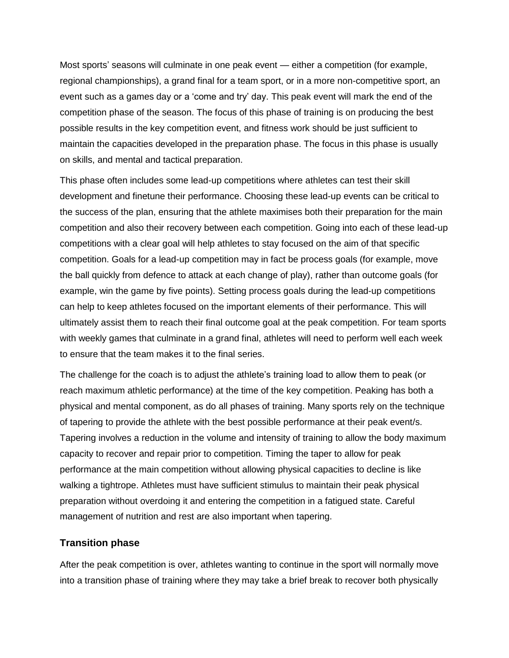Most sports' seasons will culminate in one peak event — either a competition (for example, regional championships), a grand final for a team sport, or in a more non-competitive sport, an event such as a games day or a 'come and try' day. This peak event will mark the end of the competition phase of the season. The focus of this phase of training is on producing the best possible results in the key competition event, and fitness work should be just sufficient to maintain the capacities developed in the preparation phase. The focus in this phase is usually on skills, and mental and tactical preparation.

This phase often includes some lead-up competitions where athletes can test their skill development and finetune their performance. Choosing these lead-up events can be critical to the success of the plan, ensuring that the athlete maximises both their preparation for the main competition and also their recovery between each competition. Going into each of these lead-up competitions with a clear goal will help athletes to stay focused on the aim of that specific competition. Goals for a lead-up competition may in fact be process goals (for example, move the ball quickly from defence to attack at each change of play), rather than outcome goals (for example, win the game by five points). Setting process goals during the lead-up competitions can help to keep athletes focused on the important elements of their performance. This will ultimately assist them to reach their final outcome goal at the peak competition. For team sports with weekly games that culminate in a grand final, athletes will need to perform well each week to ensure that the team makes it to the final series.

The challenge for the coach is to adjust the athlete's training load to allow them to peak (or reach maximum athletic performance) at the time of the key competition. Peaking has both a physical and mental component, as do all phases of training. Many sports rely on the technique of tapering to provide the athlete with the best possible performance at their peak event/s. Tapering involves a reduction in the volume and intensity of training to allow the body maximum capacity to recover and repair prior to competition. Timing the taper to allow for peak performance at the main competition without allowing physical capacities to decline is like walking a tightrope. Athletes must have sufficient stimulus to maintain their peak physical preparation without overdoing it and entering the competition in a fatigued state. Careful management of nutrition and rest are also important when tapering.

#### **Transition phase**

After the peak competition is over, athletes wanting to continue in the sport will normally move into a transition phase of training where they may take a brief break to recover both physically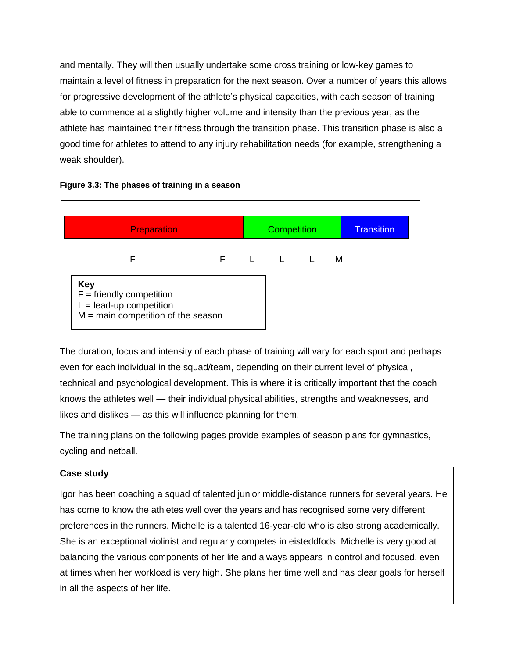and mentally. They will then usually undertake some cross training or low-key games to maintain a level of fitness in preparation for the next season. Over a number of years this allows for progressive development of the athlete's physical capacities, with each season of training able to commence at a slightly higher volume and intensity than the previous year, as the athlete has maintained their fitness through the transition phase. This transition phase is also a good time for athletes to attend to any injury rehabilitation needs (for example, strengthening a weak shoulder).



#### **Figure 3.3: The phases of training in a season**

The duration, focus and intensity of each phase of training will vary for each sport and perhaps even for each individual in the squad/team, depending on their current level of physical, technical and psychological development. This is where it is critically important that the coach knows the athletes well — their individual physical abilities, strengths and weaknesses, and likes and dislikes — as this will influence planning for them.

The training plans on the following pages provide examples of season plans for gymnastics, cycling and netball.

#### **Case study**

Igor has been coaching a squad of talented junior middle-distance runners for several years. He has come to know the athletes well over the years and has recognised some very different preferences in the runners. Michelle is a talented 16-year-old who is also strong academically. She is an exceptional violinist and regularly competes in eisteddfods. Michelle is very good at balancing the various components of her life and always appears in control and focused, even at times when her workload is very high. She plans her time well and has clear goals for herself in all the aspects of her life.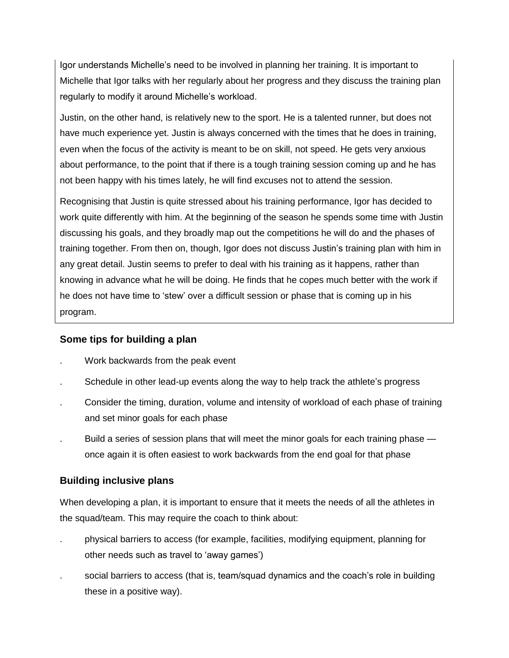Igor understands Michelle's need to be involved in planning her training. It is important to Michelle that Igor talks with her regularly about her progress and they discuss the training plan regularly to modify it around Michelle's workload.

Justin, on the other hand, is relatively new to the sport. He is a talented runner, but does not have much experience yet. Justin is always concerned with the times that he does in training, even when the focus of the activity is meant to be on skill, not speed. He gets very anxious about performance, to the point that if there is a tough training session coming up and he has not been happy with his times lately, he will find excuses not to attend the session.

Recognising that Justin is quite stressed about his training performance, Igor has decided to work quite differently with him. At the beginning of the season he spends some time with Justin discussing his goals, and they broadly map out the competitions he will do and the phases of training together. From then on, though, Igor does not discuss Justin's training plan with him in any great detail. Justin seems to prefer to deal with his training as it happens, rather than knowing in advance what he will be doing. He finds that he copes much better with the work if he does not have time to 'stew' over a difficult session or phase that is coming up in his program.

## **Some tips for building a plan**

- . Work backwards from the peak event
- . Schedule in other lead-up events along the way to help track the athlete's progress
- . Consider the timing, duration, volume and intensity of workload of each phase of training and set minor goals for each phase
- Build a series of session plans that will meet the minor goals for each training phase once again it is often easiest to work backwards from the end goal for that phase

## **Building inclusive plans**

When developing a plan, it is important to ensure that it meets the needs of all the athletes in the squad/team. This may require the coach to think about:

- . physical barriers to access (for example, facilities, modifying equipment, planning for other needs such as travel to 'away games')
- social barriers to access (that is, team/squad dynamics and the coach's role in building these in a positive way).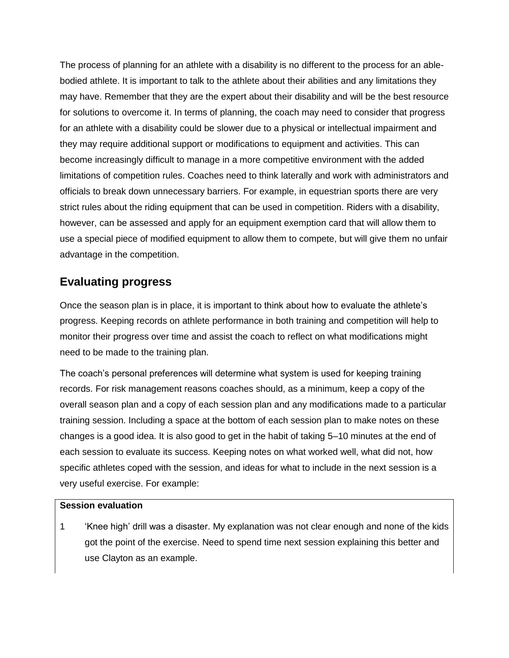The process of planning for an athlete with a disability is no different to the process for an ablebodied athlete. It is important to talk to the athlete about their abilities and any limitations they may have. Remember that they are the expert about their disability and will be the best resource for solutions to overcome it. In terms of planning, the coach may need to consider that progress for an athlete with a disability could be slower due to a physical or intellectual impairment and they may require additional support or modifications to equipment and activities. This can become increasingly difficult to manage in a more competitive environment with the added limitations of competition rules. Coaches need to think laterally and work with administrators and officials to break down unnecessary barriers. For example, in equestrian sports there are very strict rules about the riding equipment that can be used in competition. Riders with a disability, however, can be assessed and apply for an equipment exemption card that will allow them to use a special piece of modified equipment to allow them to compete, but will give them no unfair advantage in the competition.

## **Evaluating progress**

Once the season plan is in place, it is important to think about how to evaluate the athlete's progress. Keeping records on athlete performance in both training and competition will help to monitor their progress over time and assist the coach to reflect on what modifications might need to be made to the training plan.

The coach's personal preferences will determine what system is used for keeping training records. For risk management reasons coaches should, as a minimum, keep a copy of the overall season plan and a copy of each session plan and any modifications made to a particular training session. Including a space at the bottom of each session plan to make notes on these changes is a good idea. It is also good to get in the habit of taking 5–10 minutes at the end of each session to evaluate its success. Keeping notes on what worked well, what did not, how specific athletes coped with the session, and ideas for what to include in the next session is a very useful exercise. For example:

#### **Session evaluation**

1 'Knee high' drill was a disaster. My explanation was not clear enough and none of the kids got the point of the exercise. Need to spend time next session explaining this better and use Clayton as an example.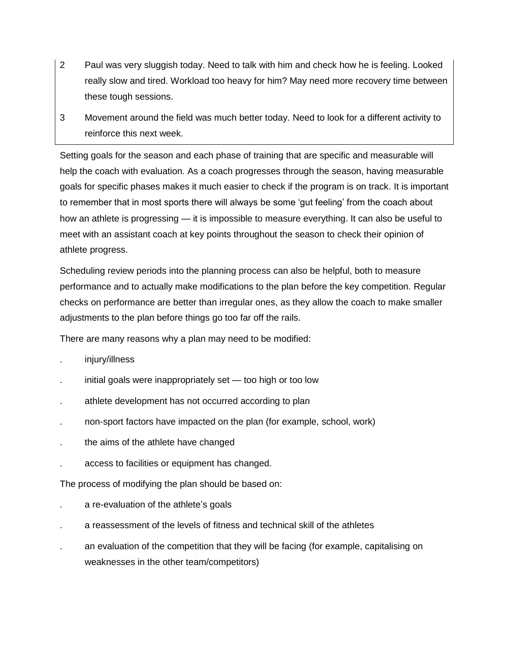- 2 Paul was very sluggish today. Need to talk with him and check how he is feeling. Looked really slow and tired. Workload too heavy for him? May need more recovery time between these tough sessions.
- 3 Movement around the field was much better today. Need to look for a different activity to reinforce this next week.

Setting goals for the season and each phase of training that are specific and measurable will help the coach with evaluation. As a coach progresses through the season, having measurable goals for specific phases makes it much easier to check if the program is on track. It is important to remember that in most sports there will always be some 'gut feeling' from the coach about how an athlete is progressing — it is impossible to measure everything. It can also be useful to meet with an assistant coach at key points throughout the season to check their opinion of athlete progress.

Scheduling review periods into the planning process can also be helpful, both to measure performance and to actually make modifications to the plan before the key competition. Regular checks on performance are better than irregular ones, as they allow the coach to make smaller adjustments to the plan before things go too far off the rails.

There are many reasons why a plan may need to be modified:

- . injury/illness
- . initial goals were inappropriately set too high or too low
- athlete development has not occurred according to plan
- . non-sport factors have impacted on the plan (for example, school, work)
- . the aims of the athlete have changed
- . access to facilities or equipment has changed.

The process of modifying the plan should be based on:

- . a re-evaluation of the athlete's goals
- . a reassessment of the levels of fitness and technical skill of the athletes
- . an evaluation of the competition that they will be facing (for example, capitalising on weaknesses in the other team/competitors)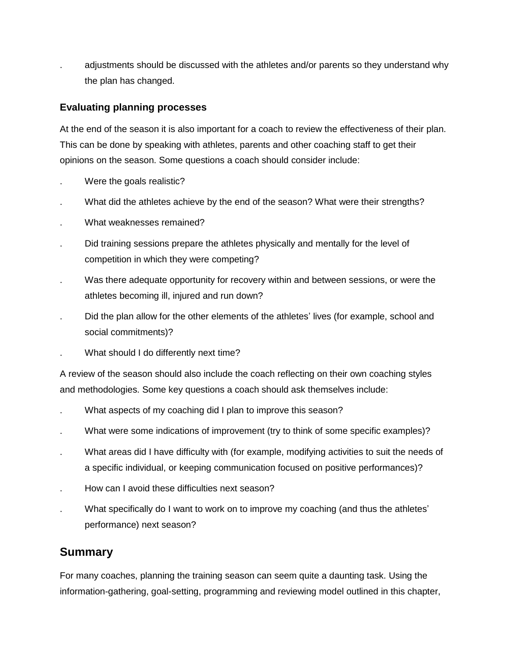. adjustments should be discussed with the athletes and/or parents so they understand why the plan has changed.

### **Evaluating planning processes**

At the end of the season it is also important for a coach to review the effectiveness of their plan. This can be done by speaking with athletes, parents and other coaching staff to get their opinions on the season. Some questions a coach should consider include:

- . Were the goals realistic?
- What did the athletes achieve by the end of the season? What were their strengths?
- . What weaknesses remained?
- . Did training sessions prepare the athletes physically and mentally for the level of competition in which they were competing?
- . Was there adequate opportunity for recovery within and between sessions, or were the athletes becoming ill, injured and run down?
- . Did the plan allow for the other elements of the athletes' lives (for example, school and social commitments)?
- . What should I do differently next time?

A review of the season should also include the coach reflecting on their own coaching styles and methodologies. Some key questions a coach should ask themselves include:

- What aspects of my coaching did I plan to improve this season?
- . What were some indications of improvement (try to think of some specific examples)?
- . What areas did I have difficulty with (for example, modifying activities to suit the needs of a specific individual, or keeping communication focused on positive performances)?
- . How can I avoid these difficulties next season?
- What specifically do I want to work on to improve my coaching (and thus the athletes' performance) next season?

## **Summary**

For many coaches, planning the training season can seem quite a daunting task. Using the information-gathering, goal-setting, programming and reviewing model outlined in this chapter,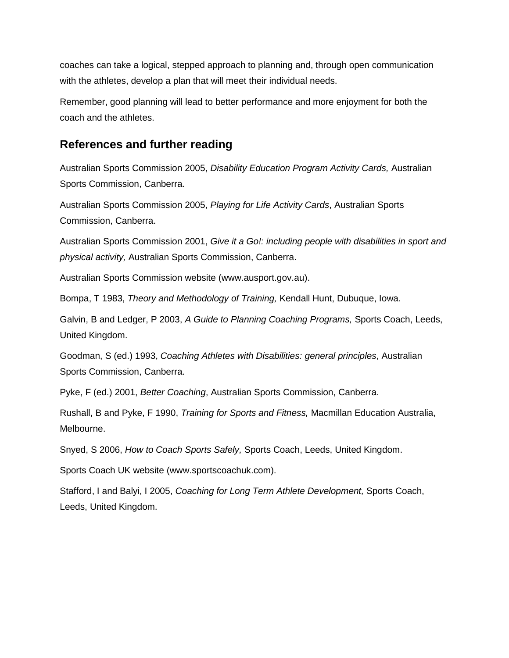coaches can take a logical, stepped approach to planning and, through open communication with the athletes, develop a plan that will meet their individual needs.

Remember, good planning will lead to better performance and more enjoyment for both the coach and the athletes.

## **References and further reading**

Australian Sports Commission 2005, *Disability Education Program Activity Cards,* Australian Sports Commission, Canberra.

Australian Sports Commission 2005, *Playing for Life Activity Cards*, Australian Sports Commission, Canberra.

Australian Sports Commission 2001, *Give it a Go!: including people with disabilities in sport and physical activity,* Australian Sports Commission, Canberra.

Australian Sports Commission website (www.ausport.gov.au).

Bompa, T 1983, *Theory and Methodology of Training,* Kendall Hunt, Dubuque, Iowa.

Galvin, B and Ledger, P 2003, *A Guide to Planning Coaching Programs,* Sports Coach, Leeds, United Kingdom.

Goodman, S (ed.) 1993, *Coaching Athletes with Disabilities: general principles*, Australian Sports Commission, Canberra.

Pyke, F (ed.) 2001, *Better Coaching*, Australian Sports Commission, Canberra.

Rushall, B and Pyke, F 1990, *Training for Sports and Fitness,* Macmillan Education Australia, Melbourne.

Snyed, S 2006, *How to Coach Sports Safely,* Sports Coach, Leeds, United Kingdom.

Sports Coach UK website (www.sportscoachuk.com).

Stafford, I and Balyi, I 2005, *Coaching for Long Term Athlete Development,* Sports Coach, Leeds, United Kingdom.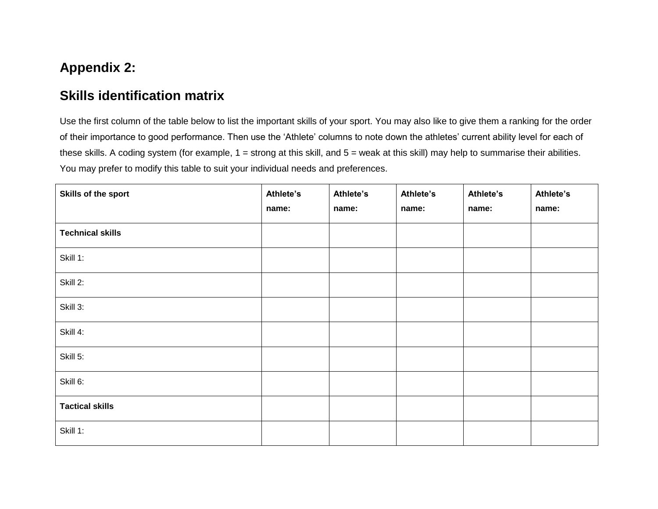# **Appendix 2:**

## **Skills identification matrix**

Use the first column of the table below to list the important skills of your sport. You may also like to give them a ranking for the order of their importance to good performance. Then use the 'Athlete' columns to note down the athletes' current ability level for each of these skills. A coding system (for example, 1 = strong at this skill, and 5 = weak at this skill) may help to summarise their abilities. You may prefer to modify this table to suit your individual needs and preferences.

| Skills of the sport     | Athlete's<br>name: | Athlete's<br>name: | Athlete's<br>name: | Athlete's<br>name: | Athlete's<br>name: |
|-------------------------|--------------------|--------------------|--------------------|--------------------|--------------------|
| <b>Technical skills</b> |                    |                    |                    |                    |                    |
| Skill 1:                |                    |                    |                    |                    |                    |
| Skill 2:                |                    |                    |                    |                    |                    |
| Skill 3:                |                    |                    |                    |                    |                    |
| Skill 4:                |                    |                    |                    |                    |                    |
| Skill 5:                |                    |                    |                    |                    |                    |
| Skill 6:                |                    |                    |                    |                    |                    |
| <b>Tactical skills</b>  |                    |                    |                    |                    |                    |
| Skill 1:                |                    |                    |                    |                    |                    |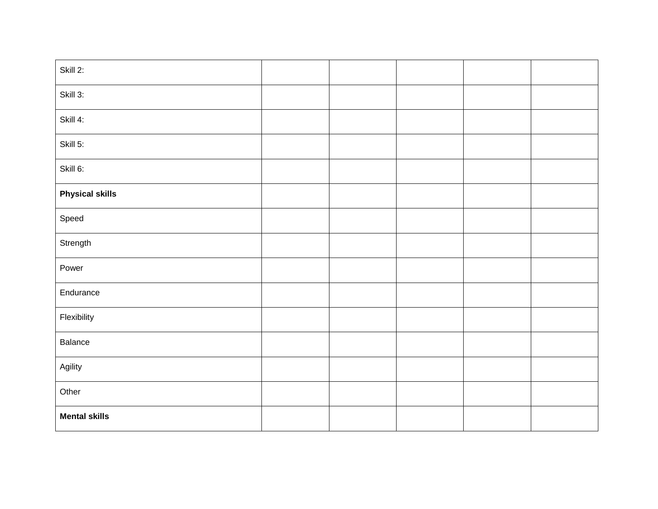| Skill 2:               |  |  |  |
|------------------------|--|--|--|
| Skill 3:               |  |  |  |
| Skill 4:               |  |  |  |
| Skill 5:               |  |  |  |
| Skill 6:               |  |  |  |
| <b>Physical skills</b> |  |  |  |
| Speed                  |  |  |  |
| Strength               |  |  |  |
| Power                  |  |  |  |
| Endurance              |  |  |  |
| Flexibility            |  |  |  |
| Balance                |  |  |  |
| Agility                |  |  |  |
| Other                  |  |  |  |
| <b>Mental skills</b>   |  |  |  |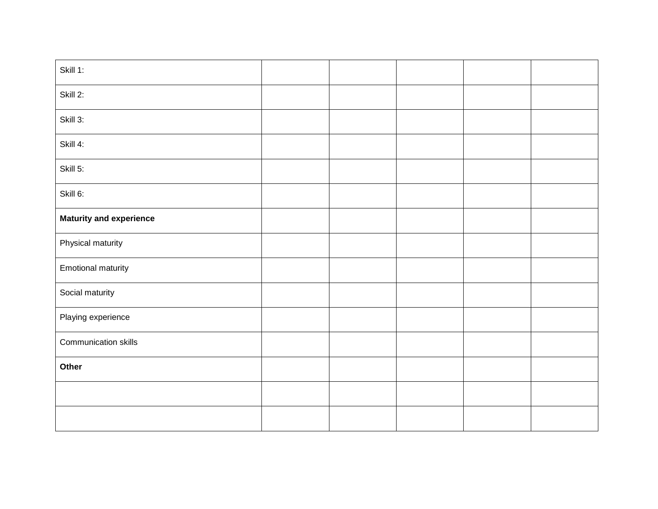| Skill 1:                       |  |  |  |
|--------------------------------|--|--|--|
| Skill 2:                       |  |  |  |
| Skill 3:                       |  |  |  |
| Skill 4:                       |  |  |  |
| Skill 5:                       |  |  |  |
| Skill 6:                       |  |  |  |
| <b>Maturity and experience</b> |  |  |  |
| Physical maturity              |  |  |  |
| <b>Emotional maturity</b>      |  |  |  |
| Social maturity                |  |  |  |
| Playing experience             |  |  |  |
| Communication skills           |  |  |  |
| Other                          |  |  |  |
|                                |  |  |  |
|                                |  |  |  |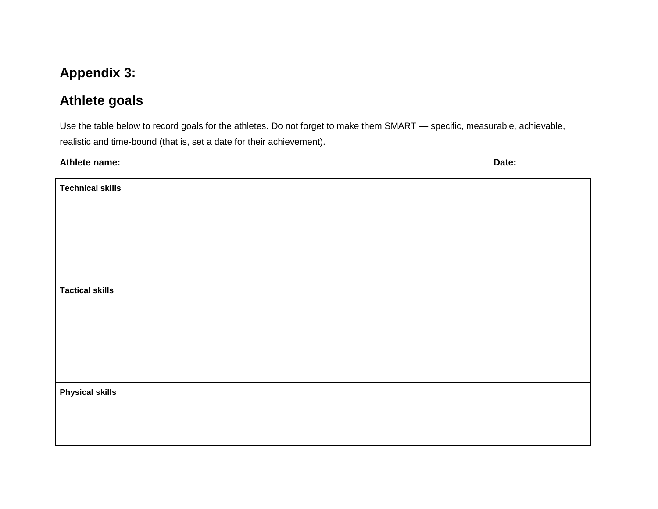# **Appendix 3:**

# **Athlete goals**

Use the table below to record goals for the athletes. Do not forget to make them SMART — specific, measurable, achievable, realistic and time-bound (that is, set a date for their achievement).

| Athlete name: | Date: |
|---------------|-------|
|---------------|-------|

| <b>Technical skills</b> |  |
|-------------------------|--|
|                         |  |
|                         |  |
|                         |  |
|                         |  |
|                         |  |
| <b>Tactical skills</b>  |  |
|                         |  |
|                         |  |
|                         |  |
|                         |  |
|                         |  |
| <b>Physical skills</b>  |  |
|                         |  |
|                         |  |
|                         |  |